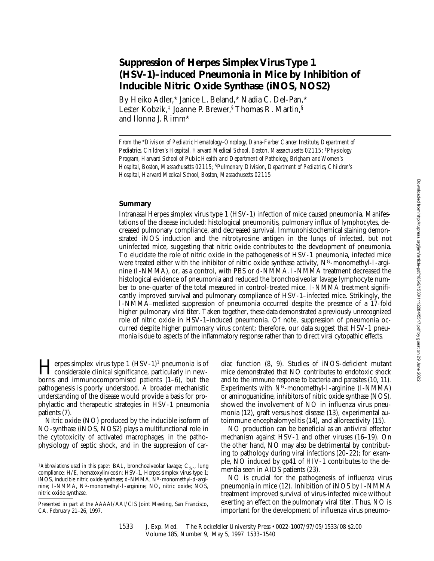# **Suppression of Herpes Simplex Virus Type 1 (HSV-1)–induced Pneumonia in Mice by Inhibition of Inducible Nitric Oxide Synthase (iNOS, NOS2)**

By Heiko Adler,\* Janice L. Beland,\* Nadia C. Del-Pan,\* Lester Kobzik,‡ Joanne P. Brewer,§ Thomas R. Martin,§ and Ilonna J. Rimm\*

*From the* \**Division of Pediatric Hematology-Oncology, Dana-Farber Cancer Institute, Department of Pediatrics, Children's Hospital, Harvard Medical School, Boston, Massachusetts 02115;* ‡*Physiology Program, Harvard School of Public Health and Department of Pathology, Brigham and Women's Hospital, Boston, Massachusetts 02115;* §*Pulmonary Division, Department of Pediatrics, Children's Hospital, Harvard Medical School, Boston, Massachusetts 02115*

## **Summary**

Intranasal Herpes simplex virus type 1 (HSV-1) infection of mice caused pneumonia. Manifestations of the disease included: histological pneumonitis, pulmonary influx of lymphocytes, decreased pulmonary compliance, and decreased survival. Immunohistochemical staining demonstrated iNOS induction and the nitrotyrosine antigen in the lungs of infected, but not uninfected mice, suggesting that nitric oxide contributes to the development of pneumonia. To elucidate the role of nitric oxide in the pathogenesis of HSV-1 pneumonia, infected mice were treated either with the inhibitor of nitric oxide synthase activity,  $N<sup>G</sup>$ -monomethyl-l-arginine (l-NMMA), or, as a control, with PBS or d-NMMA. l-NMMA treatment decreased the histological evidence of pneumonia and reduced the bronchoalveolar lavage lymphocyte number to one-quarter of the total measured in control-treated mice. l-NMMA treatment significantly improved survival and pulmonary compliance of HSV-1–infected mice. Strikingly, the l-NMMA–mediated suppression of pneumonia occurred despite the presence of a 17-fold higher pulmonary viral titer. Taken together, these data demonstrated a previously unrecognized role of nitric oxide in HSV-1–induced pneumonia. Of note, suppression of pneumonia occurred despite higher pulmonary virus content; therefore, our data suggest that HSV-1 pneumonia is due to aspects of the inflammatory response rather than to direct viral cytopathic effects.

**Herpes simplex virus type 1** (HSV-1)<sup>1</sup> pneumonia is of<br>considerable clinical significance, particularly in new-<br>horrs and immunosempromised patients (1, 6), but the borns and immunocompromised patients (1–6), but the pathogenesis is poorly understood. A broader mechanistic understanding of the disease would provide a basis for prophylactic and therapeutic strategies in HSV-1 pneumonia patients (7).

Nitric oxide (NO) produced by the inducible isoform of NO-synthase (iNOS, NOS2) plays a multifunctional role in the cytotoxicity of activated macrophages, in the pathophysiology of septic shock, and in the suppression of cardiac function (8, 9). Studies of iNOS-deficient mutant mice demonstrated that NO contributes to endotoxic shock and to the immune response to bacteria and parasites (10, 11). Experiments with  $N^G$ -monomethyl-1-arginine (1-NMMA) or aminoguanidine, inhibitors of nitric oxide synthase (NOS), showed the involvement of NO in influenza virus pneumonia (12), graft versus host disease (13), experimental autoimmune encephalomyelitis (14), and alloreactivity (15).

NO production can be beneficial as an antiviral effector mechanism against HSV-1 and other viruses (16–19). On the other hand, NO may also be detrimental by contributing to pathology during viral infections (20–22); for example, NO induced by gp41 of HIV-1 contributes to the dementia seen in AIDS patients (23).

NO is crucial for the pathogenesis of influenza virus pneumonia in mice (12). Inhibition of iNOS by l-NMMA treatment improved survival of virus-infected mice without exerting an effect on the pulmonary viral titer. Thus, NO is important for the development of influenza virus pneumo-

<sup>&</sup>lt;sup>1</sup> Abbreviations used in this paper: BAL, bronchoalveolar lavage; C<sub>dyn</sub>, lung compliance; H/E, hematoxylin/eosin; HSV-1, Herpes simplex virus-type 1; iNOS, inducible nitric oxide synthase; d-NMMA, NG-monomethyl-d-arginine; 1-NMMA, N<sup>G</sup>-monomethyl-1-arginine; NO, nitric oxide; NOS, nitric oxide synthase.

Presented in part at the AAAAI/AAI/CIS Joint Meeting, San Francisco, CA, February 21–26, 1997.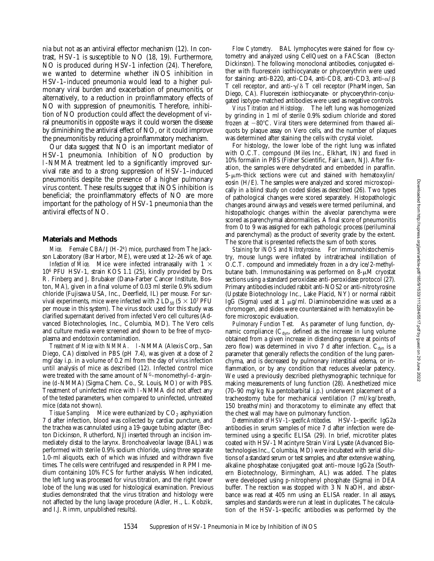nia but not as an antiviral effector mechanism (12). In contrast, HSV-1 is susceptible to NO (18, 19). Furthermore, NO is produced during HSV-1 infection (24). Therefore, we wanted to determine whether iNOS inhibition in HSV-1–induced pneumonia would lead to a higher pulmonary viral burden and exacerbation of pneumonitis, or alternatively, to a reduction in proinflammatory effects of NO with suppression of pneumonitis. Therefore, inhibition of NO production could affect the development of viral pneumonitis in opposite ways: it could worsen the disease by diminishing the antiviral effect of NO, or it could improve the pneumonitis by reducing a proinflammatory mechanism.

Our data suggest that NO is an important mediator of HSV-1 pneumonia. Inhibition of NO production by l-NMMA treatment led to a significantly improved survival rate and to a strong suppression of HSV-1–induced pneumonitis despite the presence of a higher pulmonary virus content. These results suggest that iNOS inhibition is beneficial; the proinflammatory effects of NO are more important for the pathology of HSV-1 pneumonia than the antiviral effects of NO.

#### **Materials and Methods**

*Mice.* Female CBA/J (H-2k) mice, purchased from The Jackson Laboratory (Bar Harbor, ME), were used at 12–26 wk of age.

*Infection of Mice.* Mice were infected intranasally with  $1 \times$ 106 PFU HSV-1, strain KOS 1.1 (25), kindly provided by Drs. R. Finberg and J. Brubaker (Dana-Farber Cancer Institute, Boston, MA), given in a final volume of 0.03 ml sterile 0.9% sodium chloride (Fujisawa USA, Inc., Deerfield, IL) per mouse. For survival experiments, mice were infected with 2  $LD_{50}$  (5  $\times$  10<sup>7</sup> PFU per mouse in this system). The virus stock used for this study was clarified supernatant derived from infected Vero cell cultures (Advanced Biotechnologies, Inc., Columbia, MD). The Vero cells and culture media were screened and shown to be free of mycoplasma and endotoxin contamination.

*Treatment of Mice with NMMA.* l-NMMA (Alexis Corp., San Diego, CA) dissolved in PBS (pH 7.4), was given at a dose of 2 mg/day i.p. in a volume of 0.2 ml from the day of virus infection until analysis of mice as described (12). Infected control mice were treated with the same amount of  $N<sup>G</sup>$ -monomethyl-d-arginine (d-NMMA) (Sigma Chem. Co., St. Louis, MO) or with PBS. Treatment of uninfected mice with l-NMMA did not affect any of the tested parameters, when compared to uninfected, untreated mice (data not shown).

*Tissue Sampling.* Mice were euthanized by CO<sub>2</sub> asphyxiation 7 d after infection, blood was collected by cardiac puncture, and the trachea was cannulated using a 19-gauge tubing adapter (Becton Dickinson, Rutherford, NJ) inserted through an incision immediately distal to the larynx. Bronchoalveolar lavage (BAL) was performed with sterile 0.9% sodium chloride, using three separate 1.0-ml aliquots, each of which was infused and withdrawn five times. The cells were centrifuged and resuspended in RPMI medium containing 10% FCS for further analysis. When indicated, the left lung was processed for virus titration, and the right lower lobe of the lung was used for histological examination. Previous studies demonstrated that the virus titration and histology were not affected by the lung lavage procedure (Adler, H., L. Kobzik, and I.J. Rimm, unpublished results).

*Flow Cytometry.* BAL lymphocytes were stained for flow cytometry and analyzed using CellQuest on a FACScan® (Becton Dickinson). The following monoclonal antibodies, conjugated either with fluorescein isothiocyanate or phycoerythrin were used for staining: anti-B220, anti-CD4, anti-CD8, anti-CD3, anti- $\alpha/\beta$ T cell receptor, and anti- $\gamma/\delta$  T cell receptor (PharMingen, San Diego, CA). Fluorescein isothiocyanate- or phycoerythrin-conjugated isotype-matched antibodies were used as negative controls.

*Virus Titration and Histology.* The left lung was homogenized by grinding in 1 ml of sterile 0.9% sodium chloride and stored frozen at  $-80^{\circ}$ C. Viral titers were determined from thawed aliquots by plaque assay on Vero cells, and the number of plaques was determined after staining the cells with crystal violet.

For histology, the lower lobe of the right lung was inflated with O.C.T. compound (Miles Inc., Elkhart, IN) and fixed in 10% formalin in PBS (Fisher Scientific, Fair Lawn, NJ). After fixation, the samples were dehydrated and embedded in paraffin.  $5-\mu$ m-thick sections were cut and stained with hematoxylin/ eosin (H/E). The samples were analyzed and scored microscopically in a blind study on coded slides as described (26). Two types of pathological changes were scored separately. Histopathologic changes around airways and vessels were termed periluminal, and histopathologic changes within the alveolar parenchyma were scored as parenchymal abnormalities. A final score of pneumonitis from 0 to 9 was assigned for each pathologic process (periluminal and parenchymal) as the product of severity grade by the extent. The score that is presented reflects the sum of both scores.

*Staining for iNOS and Nitrotyrosine.* For immunohistochemistry, mouse lungs were inflated by intratracheal instillation of O.C.T. compound and immediately frozen in a dry ice/2-methylbutane bath. Immunostaining was performed on  $8-\mu M$  cryostat sections using a standard peroxidase anti-peroxidase protocol (27). Primary antibodies included rabbit anti-NOS2 or anti-nitrotyrosine (Upstate Biotechnology Inc., Lake Placid, NY) or normal rabbit IgG (Sigma) used at 1  $\mu$ g/ml. Diaminobenzidine was used as a chromogen, and slides were counterstained with hematoxylin before microscopic evaluation.

*Pulmonary Function Test.* As parameter of lung function, dynamic compliance  $(C_{dyn}$ , defined as the increase in lung volume obtained from a given increase in distending pressure at points of zero flow) was determined in vivo 7 d after infection.  $C_{dyn}$  is a parameter that generally reflects the condition of the lung parenchyma, and is decreased by pulmonary interstitial edema, or inflammation, or by any condition that reduces alveolar patency. We used a previously described plethysmographic technique for making measurements of lung function (28). Anesthetized mice (70–90 mg/kg Na pentobarbital i.p.) underwent placement of a tracheostomy tube for mechanical ventilation (7 ml/kg/breath, 150 breaths/min) and thoracotomy to eliminate any effect that the chest wall may have on pulmonary function.

*Determination of HSV-1–specific Antibodies.* HSV-1–specific IgG2a antibodies in serum samples of mice 7 d after infection were determined using a specific ELISA (29). In brief, microtiter plates coated with HSV-1 Macintyre Strain Viral Lysate (Advanced Biotechnologies Inc., Columbia, MD) were incubated with serial dilutions of a standard serum or test samples, and after extensive washing, alkaline phosphatase conjugated goat anti–mouse IgG2a (Southern Biotechnology, Birmingham, AL) was added. The plates were developed using *p*-nitrophenyl phosphate (Sigma) in DEA buffer. The reaction was stopped with 3 N NaOH, and absorbance was read at 405 nm using an ELISA reader. In all assays, samples and standards were run at least in duplicates. The calculation of the HSV-1–specific antibodies was performed by the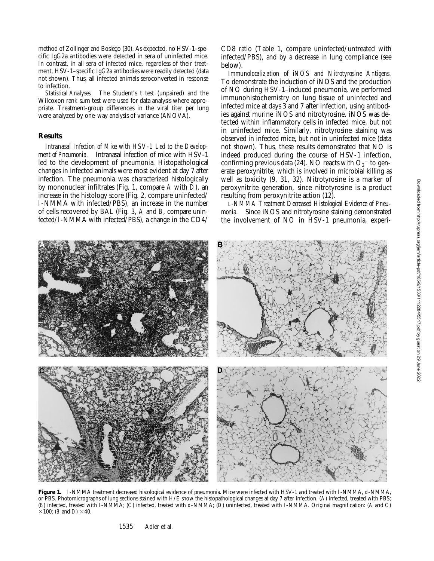method of Zollinger and Boslego (30). As expected, no HSV-1–specific IgG2a antibodies were detected in sera of uninfected mice. In contrast, in all sera of infected mice, regardless of their treatment, HSV-1–specific IgG2a antibodies were readily detected (data not shown). Thus, all infected animals seroconverted in response to infection.

*Statistical Analyses.* The Student's *t* test (unpaired) and the Wilcoxon rank sum test were used for data analysis where appropriate. Treatment-group differences in the viral titer per lung were analyzed by one-way analysis of variance (ANOVA).

#### **Results**

*Intranasal Infection of Mice with HSV-1 Led to the Development of Pneumonia.* Intranasal infection of mice with HSV-1 led to the development of pneumonia. Histopathological changes in infected animals were most evident at day 7 after infection. The pneumonia was characterized histologically by mononuclear infiltrates (Fig. 1, compare *A* with *D*), an increase in the histology score (Fig. 2, compare uninfected/ l-NMMA with infected/PBS), an increase in the number of cells recovered by BAL (Fig. 3, *A* and *B*, compare uninfected/l-NMMA with infected/PBS), a change in the CD4/

CD8 ratio (Table 1, compare uninfected/untreated with infected/PBS), and by a decrease in lung compliance (see below).

*Immunolocalization of iNOS and Nitrotyrosine Antigens.* To demonstrate the induction of iNOS and the production of NO during HSV-1–induced pneumonia, we performed immunohistochemistry on lung tissue of uninfected and infected mice at days 3 and 7 after infection, using antibodies against murine iNOS and nitrotyrosine. iNOS was detected within inflammatory cells in infected mice, but not in uninfected mice. Similarly, nitrotyrosine staining was observed in infected mice, but not in uninfected mice (data not shown). Thus, these results demonstrated that NO is indeed produced during the course of HSV-1 infection, confirming previous data (24). NO reacts with  $\mathrm{O_2}^-$  to generate peroxynitrite, which is involved in microbial killing as well as toxicity (9, 31, 32). Nitrotyrosine is a marker of peroxynitrite generation, since nitrotyrosine is a product resulting from peroxynitrite action (12).

*L-NMMA Treatment Decreased Histological Evidence of Pneumonia.* Since iNOS and nitrotyrosine staining demonstrated the involvement of NO in HSV-1 pneumonia, experi-

Figure 1. 1-NMMA treatment decreased histological evidence of pneumonia. Mice were infected with HSV-1 and treated with 1-NMMA, d-NMMA, or PBS. Photomicrographs of lung sections stained with H/E show the histopathological changes at day 7 after infection. (*A*) infected, treated with PBS;

(*B*) infected, treated with l-NMMA; (*C*) infected, treated with d-NMMA; (*D*) uninfected, treated with l-NMMA. Original magnification: (*A* and *C*)

 $\times$ 100; (*B* and *D*)  $\times$ 40.

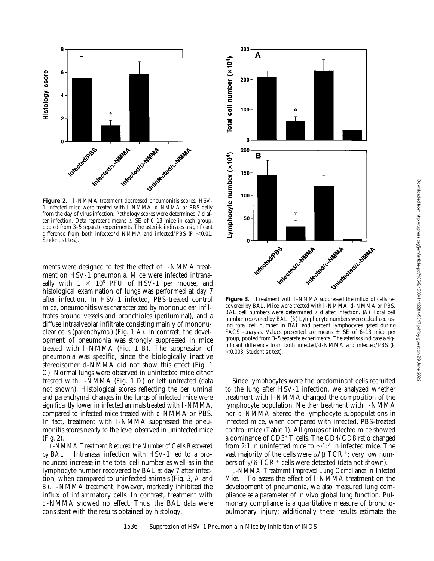

1–infected mice were treated with l-NMMA, d-NMMA or PBS daily from the day of virus infection. Pathology scores were determined 7 d after infection. Data represent means  $\pm$  SE of 6–13 mice in each group, pooled from 3–5 separate experiments. The asterisk indicates a significant difference from both infected/d-NMMA and infected/PBS ( $\overline{P}$  <0.01; Student's *t* test).

ments were designed to test the effect of l-NMMA treatment on HSV-1 pneumonia. Mice were infected intranasally with  $1 \times 10^6$  PFU of HSV-1 per mouse, and histological examination of lungs was performed at day 7 after infection. In HSV-1–infected, PBS-treated control mice, pneumonitis was characterized by mononuclear infiltrates around vessels and bronchioles (periluminal), and a diffuse intraalveolar infiltrate consisting mainly of mononuclear cells (parenchymal) (Fig. 1 *A*). In contrast, the development of pneumonia was strongly suppressed in mice treated with l-NMMA (Fig. 1 *B*). The suppression of pneumonia was specific, since the biologically inactive stereoisomer d-NMMA did not show this effect (Fig. 1 *C*). Normal lungs were observed in uninfected mice either treated with l-NMMA (Fig. 1 *D*) or left untreated (data not shown). Histological scores reflecting the periluminal and parenchymal changes in the lungs of infected mice were significantly lower in infected animals treated with l-NMMA, compared to infected mice treated with d-NMMA or PBS. In fact, treatment with l-NMMA suppressed the pneumonitis scores nearly to the level observed in uninfected mice (Fig. 2).

*L-NMMA Treatment Reduced the Number of Cells Recovered by BAL.* Intranasal infection with HSV-1 led to a pronounced increase in the total cell number as well as in the lymphocyte number recovered by BAL at day 7 after infection, when compared to uninfected animals (Fig. 3, *A* and *B*). l-NMMA treatment, however, markedly inhibited the influx of inflammatory cells. In contrast, treatment with d-NMMA showed no effect. Thus, the BAL data were consistent with the results obtained by histology.



covered by BAL. Mice were treated with l-NMMA, d-NMMA or PBS. BAL cell numbers were determined 7 d after infection. (*A*) Total cell number recovered by BAL. (*B*) Lymphocyte numbers were calculated using total cell number in BAL and percent lymphocytes gated during FACS<sup>®</sup>-analysis. Values presented are means  $\pm$  SE of 6–13 mice per group, pooled from 3–5 separate experiments. The asterisks indicate a significant difference from both infected/d-NMMA and infected/PBS (*P* ,0.003; Student's *t* test).

Since lymphocytes were the predominant cells recruited to the lung after HSV-1 infection, we analyzed whether treatment with l-NMMA changed the composition of the lymphocyte population. Neither treatment with l-NMMA nor d-NMMA altered the lymphocyte subpopulations in infected mice, when compared with infected, PBS-treated control mice (Table 1). All groups of infected mice showed a dominance of CD3+ T cells. The CD4/CD8 ratio changed from 2:1 in uninfected mice to  $\sim$ 1:4 in infected mice. The vast majority of the cells were  $\alpha/\beta$  TCR<sup>+</sup>; very low numbers of  $\gamma/\delta$  TCR<sup>+</sup> cells were detected (data not shown).

*L-NMMA Treatment Improved Lung Compliance in Infected Mice.* To assess the effect of l-NMMA treatment on the development of pneumonia, we also measured lung compliance as a parameter of in vivo global lung function. Pulmonary compliance is a quantitative measure of bronchopulmonary injury; additionally these results estimate the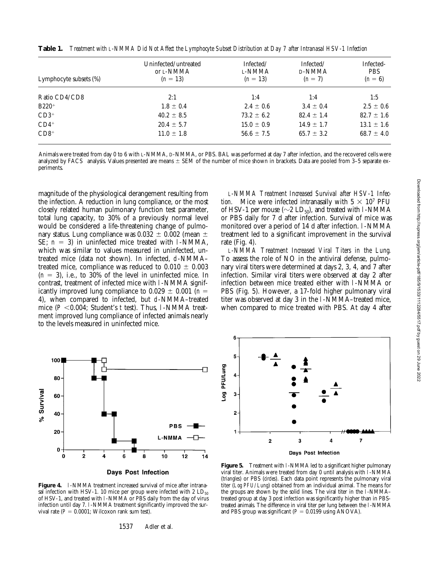| Lymphocyte subsets (%) | Uninfected/untreated<br>or L-NMMA<br>$(n = 13)$ | Infected/<br>L-NMMA<br>$(n = 13)$ | Infected/<br>D-NMMA<br>$(n = 7)$ | Infected-<br><b>PBS</b><br>$(n = 6)$ |
|------------------------|-------------------------------------------------|-----------------------------------|----------------------------------|--------------------------------------|
| Ratio CD4/CD8          | 2:1                                             | 1:4                               | 1:4                              | 1:5                                  |
| $B220+$                | $1.8 \pm 0.4$                                   | $2.4 \pm 0.6$                     | $3.4 \pm 0.4$                    | $2.5 \pm 0.6$                        |
| $CD3+$                 | $40.2 \pm 8.5$                                  | $73.2 \pm 6.2$                    | $82.4 \pm 1.4$                   | $82.7 \pm 1.6$                       |
| $CD4+$                 | $20.4 \pm 5.7$                                  | $15.0 \pm 0.9$                    | $14.9 \pm 1.7$                   | $13.1 \pm 1.6$                       |
| $CD8+$                 | $11.0 \pm 1.8$                                  | $56.6 \pm 7.5$                    | $65.7 \pm 3.2$                   | $68.7 \pm 4.0$                       |

**Table 1.** *Treatment with L-NMMA Did Not Affect the Lymphocyte Subset Distribution at Day 7 after Intranasal HSV-1 Infection*

Animals were treated from day 0 to 6 with L-NMMA, D-NMMA, or PBS. BAL was performed at day 7 after infection, and the recovered cells were analyzed by FACS<sup>®</sup> analysis. Values presented are means  $\pm$  SEM of the number of mice shown in brackets. Data are pooled from 3–5 separate experiments.

magnitude of the physiological derangement resulting from the infection. A reduction in lung compliance, or the most closely related human pulmonary function test parameter, total lung capacity, to 30% of a previously normal level would be considered a life-threatening change of pulmonary status. Lung compliance was  $0.032 \pm 0.002$  (mean  $\pm$ SE;  $n = 3$ ) in uninfected mice treated with l-NMMA, which was similar to values measured in uninfected, untreated mice (data not shown). In infected, d-NMMA– treated mice, compliance was reduced to  $0.010 \pm 0.003$  $(n = 3)$ , i.e., to 30% of the level in uninfected mice. In contrast, treatment of infected mice with l-NMMA significantly improved lung compliance to  $0.029 \pm 0.001$  (*n* = 4), when compared to infected, but d-NMMA–treated mice  $(P < 0.004$ ; Student's *t* test). Thus, 1-NMMA treatment improved lung compliance of infected animals nearly to the levels measured in uninfected mice.

*L-NMMA Treatment Increased Survival after HSV-1 Infection.* Mice were infected intranasally with  $5 \times 10^7$  PFU of HSV-1 per mouse ( $\sim$ 2 LD<sub>50</sub>), and treated with l-NMMA or PBS daily for 7 d after infection. Survival of mice was monitored over a period of 14 d after infection. l-NMMA treatment led to a significant improvement in the survival rate (Fig. 4).

*L-NMMA Treatment Increased Viral Titers in the Lung.* To assess the role of NO in the antiviral defense, pulmonary viral titers were determined at days 2, 3, 4, and 7 after infection. Similar viral titers were observed at day 2 after infection between mice treated either with l-NMMA or PBS (Fig. 5). However, a 17-fold higher pulmonary viral titer was observed at day 3 in the l-NMMA–treated mice, when compared to mice treated with PBS. At day 4 after



Figure 4. l-NMMA treatment increased survival of mice after intranasal infection with HSV-1. 10 mice per group were infected with 2  $LD_{50}$ of HSV-1, and treated with l-NMMA or PBS daily from the day of virus infection until day 7. l-NMMA treatment significantly improved the survival rate  $(P = 0.0001$ ; Wilcoxon rank sum test).

1537 Adler et al.



**Figure 5.** Treatment with 1-NMMA led to a significant higher pulmonary viral titer. Animals were treated from day 0 until analysis with l-NMMA (*triangles*) or PBS (*circles*). Each data point represents the pulmonary viral titer (*Log PFU/Lung*) obtained from an individual animal. The means for the groups are shown by the solid lines. The viral titer in the l-NMMA– treated group at day 3 post infection was significantly higher than in PBStreated animals. The difference in viral titer per lung between the l-NMMA and PBS group was significant  $(P = 0.0199 \text{ using ANOVA})$ .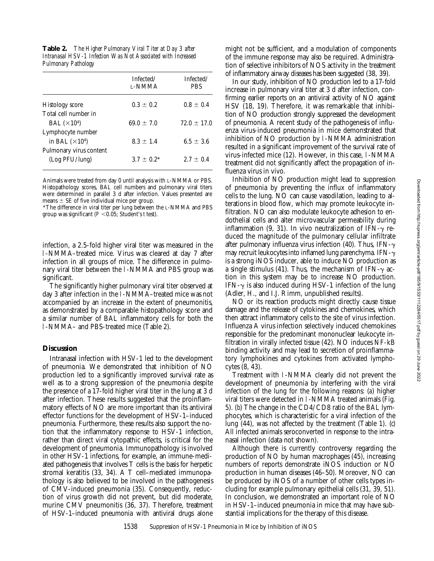**Table 2.** *The Higher Pulmonary Viral Titer at Day 3 after Intranasal HSV-1 Infection Was Not Associated with Increased Pulmonary Pathology*

|                         | Infected/<br><b>L-NMMA</b> | Infected/<br><b>PBS</b> |
|-------------------------|----------------------------|-------------------------|
| Histology score         | $0.3 \pm 0.2$              | $0.8 + 0.4$             |
| Total cell number in    |                            |                         |
| BAL $(\times 10^4)$     | $69.0 + 7.0$               | $72.0 + 17.0$           |
| Lymphocyte number       |                            |                         |
| in BAL $(\times 10^4)$  | $8.3 \pm 1.4$              | $6.5 + 3.6$             |
| Pulmonary virus content |                            |                         |
| (Log PFU/lung)          | $3.7 + 0.2^*$              | $2.7 + 0.4$             |
|                         |                            |                         |

Animals were treated from day 0 until analysis with L-NMMA or PBS. Histopathology scores, BAL cell numbers and pulmonary viral titers were determined in parallel 3 d after infection. Values presented are means  $\pm$  SE of five individual mice per group.

\*The difference in viral titer per lung between the L-NMMA and PBS group was significant ( $P < 0.05$ ; Student's *t* test).

infection, a 2.5-fold higher viral titer was measured in the l-NMMA–treated mice. Virus was cleared at day 7 after infection in all groups of mice. The difference in pulmonary viral titer between the l-NMMA and PBS group was significant.

The significantly higher pulmonary viral titer observed at day 3 after infection in the l-NMMA–treated mice was not accompanied by an increase in the extent of pneumonitis, as demonstrated by a comparable histopathology score and a similar number of BAL inflammatory cells for both the l-NMMA– and PBS-treated mice (Table 2).

# **Discussion**

Intranasal infection with HSV-1 led to the development of pneumonia. We demonstrated that inhibition of NO production led to a significantly improved survival rate as well as to a strong suppression of the pneumonia despite the presence of a 17-fold higher viral titer in the lung at 3 d after infection. These results suggested that the proinflammatory effects of NO are more important than its antiviral effector functions for the development of HSV-1–induced pneumonia. Furthermore, these results also support the notion that the inflammatory response to HSV-1 infection, rather than direct viral cytopathic effects, is critical for the development of pneumonia. Immunopathology is involved in other HSV-1 infections, for example, an immune-mediated pathogenesis that involves T cells is the basis for herpetic stromal keratitis (33, 34). A T cell–mediated immunopathology is also believed to be involved in the pathogenesis of CMV-induced pneumonia (35). Consequently, reduction of virus growth did not prevent, but did moderate, murine CMV pneumonitis (36, 37). Therefore, treatment of HSV-1–induced pneumonia with antiviral drugs alone

might not be sufficient, and a modulation of components of the immune response may also be required. Administration of selective inhibitors of NOS activity in the treatment of inflammatory airway diseases has been suggested (38, 39).

In our study, inhibition of NO production led to a 17-fold increase in pulmonary viral titer at 3 d after infection, confirming earlier reports on an antiviral activity of NO against HSV (18, 19). Therefore, it was remarkable that inhibition of NO production strongly suppressed the development of pneumonia. A recent study of the pathogenesis of influenza virus-induced pneumonia in mice demonstrated that inhibition of NO production by l-NMMA administration resulted in a significant improvement of the survival rate of virus-infected mice (12). However, in this case, l-NMMA treatment did not significantly affect the propagation of influenza virus in vivo.

Inhibition of NO production might lead to suppression of pneumonia by preventing the influx of inflammatory cells to the lung. NO can cause vasodilation, leading to alterations in blood flow, which may promote leukocyte infiltration. NO can also modulate leukocyte adhesion to endothelial cells and alter microvascular permeability during inflammation (9, 31). In vivo neutralization of IFN- $\gamma$  reduced the magnitude of the pulmonary cellular infiltrate after pulmonary influenza virus infection (40). Thus, IFN- $\gamma$ may recruit leukocytes into inflamed lung parenchyma. IFN- $\gamma$ is a strong iNOS inducer, able to induce NO production as a single stimulus (41). Thus, the mechanism of IFN- $\gamma$  action in this system may be to increase NO production. IFN- $\gamma$  is also induced during HSV-1 infection of the lung (Adler, H., and I.J. Rimm, unpublished results).

NO or its reaction products might directly cause tissue damage and the release of cytokines and chemokines, which then attract inflammatory cells to the site of virus infection. Influenza A virus infection selectively induced chemokines responsible for the predominant mononuclear leukocyte infiltration in virally infected tissue (42). NO induces NF-kB binding activity and may lead to secretion of proinflammatory lymphokines and cytokines from activated lymphocytes (8, 43).

Treatment with l-NMMA clearly did not prevent the development of pneumonia by interfering with the viral infection of the lung for the following reasons: (*a*) higher viral titers were detected in l-NMMA treated animals (Fig. 5). (*b*) The change in the CD4/CD8 ratio of the BAL lymphocytes, which is characteristic for a viral infection of the lung (44), was not affected by the treatment (Table 1). (*c*) All infected animals seroconverted in response to the intranasal infection (data not shown).

Although there is currently controversy regarding the production of NO by human macrophages (45), increasing numbers of reports demonstrate iNOS induction or NO production in human diseases (46–50). Moreover, NO can be produced by iNOS of a number of other cells types including for example pulmonary epithelial cells (31, 39, 51). In conclusion, we demonstrated an important role of NO in HSV-1–induced pneumonia in mice that may have substantial implications for the therapy of this disease.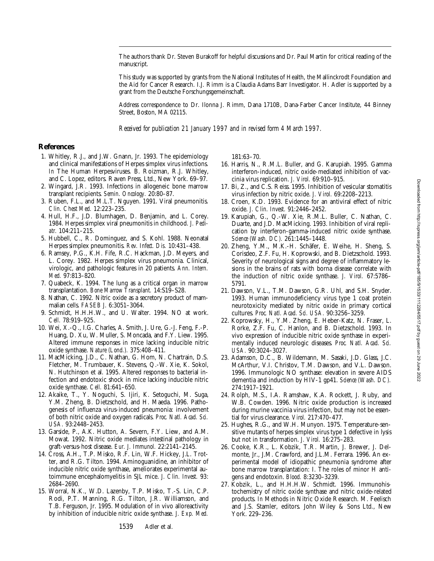The authors thank Dr. Steven Burakoff for helpful discussions and Dr. Paul Martin for critical reading of the manuscript.

This study was supported by grants from the National Institutes of Health, the Mallinckrodt Foundation and the Aid for Cancer Research. I.J. Rimm is a Claudia Adams Barr Investigator. H. Adler is supported by a grant from the Deutsche Forschungsgemeinschaft.

Address correspondence to Dr. Ilonna J. Rimm, Dana 1710B, Dana-Farber Cancer Institute, 44 Binney Street, Boston, MA 02115.

*Received for publication 21 January 1997 and in revised form 4 March 1997.*

## **References**

- 1. Whitley, R.J., and J.W. Gnann, Jr. 1993. The epidemiology and clinical manifestations of Herpes simplex virus infections. *In* The Human Herpesviruses. B. Roizman, R.J. Whitley, and C. Lopez, editors. Raven Press, Ltd., New York. 69–97.
- 2. Wingard, J.R. 1993. Infections in allogeneic bone marrow transplant recipients. *Semin. Oncology.* 20:80–87.
- 3. Ruben, F.L., and M.L.T. Nguyen. 1991. Viral pneumonitis. *Clin. Chest Med.* 12:223–235.
- 4. Hull, H.F., J.D. Blumhagen, D. Benjamin, and L. Corey. 1984. Herpes simplex viral pneumonitis in childhood. *J. Pediatr.* 104:211–215.
- 5. Hubbell, C., R. Dominguez, and S. Kohl. 1988. Neonatal Herpes simplex pneumonitis. *Rev. Infect. Dis.* 10:431–438.
- 6. Ramsey, P.G., K.H. Fife, R.C. Hackman, J.D. Meyers, and L. Corey. 1982. Herpes simplex virus pneumonia. Clinical, virologic, and pathologic features in 20 patients. *Ann. Intern. Med.* 97:813–820.
- 7. Quabeck, K. 1994. The lung as a critical organ in marrow transplantation. *Bone Marrow Transplant.* 14:S19–S28.
- 8. Nathan, C. 1992. Nitric oxide as a secretory product of mammalian cells. *FASEB J.* 6:3051–3064.
- 9. Schmidt, H.H.H.W., and U. Walter. 1994. NO at work. *Cell.* 78:919–925.
- 10. Wei, X.-Q., I.G. Charles, A. Smith, J. Ure, G.-J. Feng, F.-P. Huang, D. Xu, W. Muller, S. Moncada, and F.Y. Liew. 1995. Altered immune responses in mice lacking inducible nitric oxide synthase. *Nature (Lond.).* 375:408–411.
- 11. MacMicking, J.D., C. Nathan, G. Hom, N. Chartrain, D.S. Fletcher, M. Trumbauer, K. Stevens, Q.-W. Xie, K. Sokol, N. Hutchinson et al. 1995. Altered responses to bacterial infection and endotoxic shock in mice lacking inducible nitric oxide synthase. *Cell.* 81:641–650.
- 12. Akaike, T., Y. Noguchi, S. Ijiri, K. Setoguchi, M. Suga, Y.M. Zheng, B. Dietzschold, and H. Maeda. 1996. Pathogenesis of influenza virus-induced pneumonia: involvement of both nitric oxide and oxygen radicals. *Proc. Natl. Acad. Sci. USA.* 93:2448–2453.
- 13. Garside, P., A.K. Hutton, A. Severn, F.Y. Liew, and A.M. Mowat. 1992. Nitric oxide mediates intestinal pathology in graft-versus-host disease. *Eur. J. Immunol.* 22:2141–2145.
- 14. Cross, A.H., T.P. Misko, R.F. Lin, W.F. Hickey, J.L. Trotter, and R.G. Tilton. 1994. Aminoguanidine, an inhibitor of inducible nitric oxide synthase, ameliorates experimental autoimmune encephalomyelitis in SJL mice. *J. Clin. Invest.* 93: 2684–2690.
- 15. Worral, N.K., W.D. Lazenby, T.P. Misko, T.-S. Lin, C.P. Rodi, P.T. Manning, R.G. Tilton, J.R. Williamson, and T.B. Ferguson, Jr. 1995. Modulation of in vivo alloreactivity by inhibition of inducible nitric oxide synthase. *J. Exp. Med.*

181:63–70.

- 16. Harris, N., R.M.L. Buller, and G. Karupiah. 1995. Gamma interferon-induced, nitric oxide-mediated inhibition of vaccinia virus replication. *J. Virol.* 69:910–915.
- 17. Bi, Z., and C.S. Reiss. 1995. Inhibition of vesicular stomatitis virus infection by nitric oxide. *J. Virol.* 69:2208–2213.
- 18. Croen, K.D. 1993. Evidence for an antiviral effect of nitric oxide. *J. Clin. Invest.* 91:2446–2452.
- 19. Karupiah, G., Q.-W. Xie, R.M.L. Buller, C. Nathan, C. Duarte, and J.D. MacMicking. 1993. Inhibition of viral replication by interferon-gamma-induced nitric oxide synthase. *Science (Wash. DC).* 261:1445–1448.
- 20. Zheng, Y.M., M.K.-H. Schäfer, E. Weihe, H. Sheng, S. Corisdeo, Z.F. Fu, H. Koprowski, and B. Dietzschold. 1993. Severity of neurological signs and degree of inflammatory lesions in the brains of rats with borna disease correlate with the induction of nitric oxide synthase. *J. Virol.* 67:5786– 5791.
- 21. Dawson, V.L., T.M. Dawson, G.R. Uhl, and S.H. Snyder. 1993. Human immunodeficiency virus type 1 coat protein neurotoxicity mediated by nitric oxide in primary cortical cultures. *Proc. Natl. Acad. Sci. USA.* 90:3256–3259.
- 22. Koprowsky, H., Y.M. Zheng, E. Heber-Katz, N. Fraser, L. Rorke, Z.F. Fu, C. Hanlon, and B. Dietzschold. 1993. In vivo expression of inducible nitric oxide synthase in experimentally induced neurologic diseases. *Proc. Natl. Acad. Sci. USA.* 90:3024–3027.
- 23. Adamson, D.C., B. Wildemann, M. Sasaki, J.D. Glass, J.C. McArthur, V.I. Christov, T.M. Dawson, and V.L. Dawson. 1996. Immunologic NO synthase: elevation in severe AIDS dementia and induction by HIV-1 gp41. *Science (Wash. DC).* 274:1917–1921.
- 24. Rolph, M.S., I.A. Ramshaw, K.A. Rockett, J. Ruby, and W.B. Cowden. 1996. Nitric oxide production is increased during murine vaccinia virus infection, but may not be essential for virus clearance. *Virol.* 217:470–477.
- 25. Hughes, R.G., and W.H. Munyon. 1975. Temperature-sensitive mutants of herpes simplex virus type 1 defective in lysis but not in transformation. *J. Virol.* 16:275–283.
- 26. Cooke, K.R., L. Kobzik, T.R. Martin, J. Brewer, J. Delmonte, Jr., J.M. Crawford, and J.L.M. Ferrara. 1996. An experimental model of idiopathic pneumonia syndrome after bone marrow transplantation: I. The roles of minor H antigens and endotoxin. *Blood.* 8:3230–3239.
- 27. Kobzik, L., and H.H.H.W. Schmidt. 1996. Immunohistochemistry of nitric oxide synthase and nitric oxide-related products. *In* Methods in Nitric Oxide Research. M. Feelisch and J.S. Stamler, editors. John Wiley & Sons Ltd., New York. 229–236.